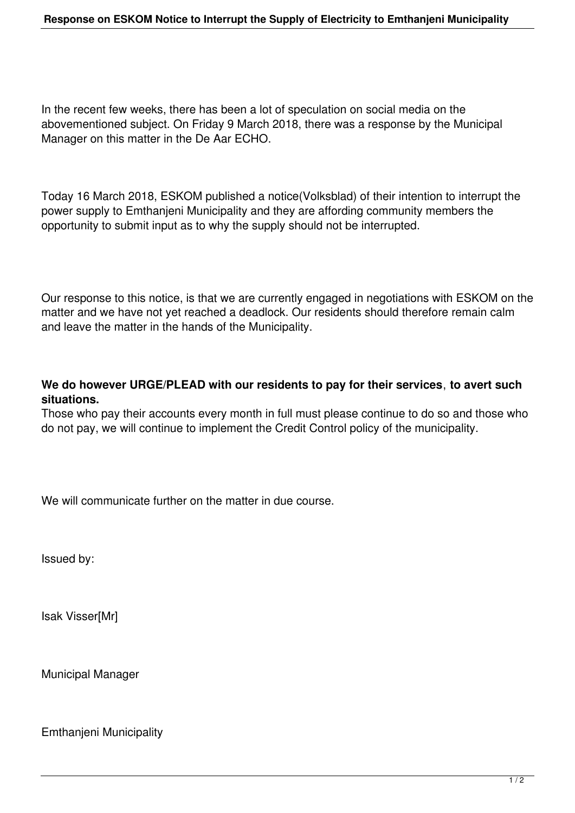In the recent few weeks, there has been a lot of speculation on social media on the abovementioned subject. On Friday 9 March 2018, there was a response by the Municipal Manager on this matter in the De Aar ECHO.

Today 16 March 2018, ESKOM published a notice(Volksblad) of their intention to interrupt the power supply to Emthanjeni Municipality and they are affording community members the opportunity to submit input as to why the supply should not be interrupted.

Our response to this notice, is that we are currently engaged in negotiations with ESKOM on the matter and we have not yet reached a deadlock. Our residents should therefore remain calm and leave the matter in the hands of the Municipality.

## **We do however URGE/PLEAD with our residents to pay for their services**, **to avert such situations.**

Those who pay their accounts every month in full must please continue to do so and those who do not pay, we will continue to implement the Credit Control policy of the municipality.

We will communicate further on the matter in due course.

Issued by:

Isak Visser[Mr]

Municipal Manager

Emthanjeni Municipality